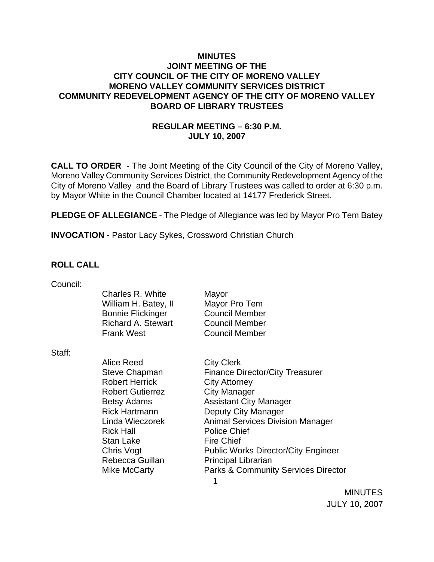## **MINUTES JOINT MEETING OF THE CITY COUNCIL OF THE CITY OF MORENO VALLEY MORENO VALLEY COMMUNITY SERVICES DISTRICT COMMUNITY REDEVELOPMENT AGENCY OF THE CITY OF MORENO VALLEY BOARD OF LIBRARY TRUSTEES**

# **REGULAR MEETING – 6:30 P.M. JULY 10, 2007**

**CALL TO ORDER** - The Joint Meeting of the City Council of the City of Moreno Valley, Moreno Valley Community Services District, the Community Redevelopment Agency of the City of Moreno Valley and the Board of Library Trustees was called to order at 6:30 p.m. by Mayor White in the Council Chamber located at 14177 Frederick Street.

**PLEDGE OF ALLEGIANCE** - The Pledge of Allegiance was led by Mayor Pro Tem Batey

**INVOCATION** - Pastor Lacy Sykes, Crossword Christian Church

## **ROLL CALL**

| Charles R. White         |
|--------------------------|
| William H. Batey, II     |
| <b>Bonnie Flickinger</b> |
| Richard A. Stewart       |
| Frank West               |
|                          |

Staff:

Alice Reed City Clerk Robert Herrick City Attorney Robert Gutierrez **City Manager** Rick Hall **Police Chief** Stan Lake Fire Chief

Mayor Mayor Pro Tem Council Member **Council Member** Council Member

 $\sim$  1 Steve Chapman Finance Director/City Treasurer Betsy Adams **Assistant City Manager** Rick Hartmann Deputy City Manager Linda Wieczorek Animal Services Division Manager Chris Vogt **Public Works Director/City Engineer** Rebecca Guillan Principal Librarian Mike McCarty **Parks & Community Services Director** 

> MINUTES JULY 10, 2007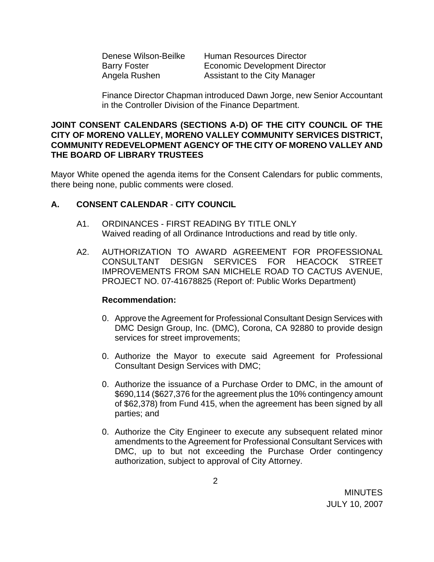| Denese Wilson-Beilke |
|----------------------|
| <b>Barry Foster</b>  |
| Angela Rushen        |

Human Resources Director **Economic Development Director** Assistant to the City Manager

Finance Director Chapman introduced Dawn Jorge, new Senior Accountant in the Controller Division of the Finance Department.

## **JOINT CONSENT CALENDARS (SECTIONS A-D) OF THE CITY COUNCIL OF THE CITY OF MORENO VALLEY, MORENO VALLEY COMMUNITY SERVICES DISTRICT, COMMUNITY REDEVELOPMENT AGENCY OF THE CITY OF MORENO VALLEY AND THE BOARD OF LIBRARY TRUSTEES**

Mayor White opened the agenda items for the Consent Calendars for public comments, there being none, public comments were closed.

# **A. CONSENT CALENDAR** - **CITY COUNCIL**

- A1. ORDINANCES FIRST READING BY TITLE ONLY Waived reading of all Ordinance Introductions and read by title only.
- A2. AUTHORIZATION TO AWARD AGREEMENT FOR PROFESSIONAL CONSULTANT DESIGN SERVICES FOR HEACOCK STREET IMPROVEMENTS FROM SAN MICHELE ROAD TO CACTUS AVENUE, PROJECT NO. 07-41678825 (Report of: Public Works Department)

- 0. Approve the Agreement for Professional Consultant Design Services with DMC Design Group, Inc. (DMC), Corona, CA 92880 to provide design services for street improvements;
- 0. Authorize the Mayor to execute said Agreement for Professional Consultant Design Services with DMC;
- 0. Authorize the issuance of a Purchase Order to DMC, in the amount of \$690,114 (\$627,376 for the agreement plus the 10% contingency amount of \$62,378) from Fund 415, when the agreement has been signed by all parties; and
- 0. Authorize the City Engineer to execute any subsequent related minor amendments to the Agreement for Professional Consultant Services with DMC, up to but not exceeding the Purchase Order contingency authorization, subject to approval of City Attorney.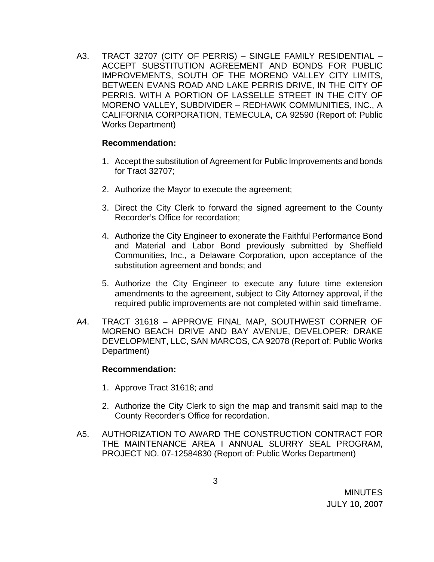A3. TRACT 32707 (CITY OF PERRIS) – SINGLE FAMILY RESIDENTIAL – ACCEPT SUBSTITUTION AGREEMENT AND BONDS FOR PUBLIC IMPROVEMENTS, SOUTH OF THE MORENO VALLEY CITY LIMITS, BETWEEN EVANS ROAD AND LAKE PERRIS DRIVE, IN THE CITY OF PERRIS, WITH A PORTION OF LASSELLE STREET IN THE CITY OF MORENO VALLEY, SUBDIVIDER – REDHAWK COMMUNITIES, INC., A CALIFORNIA CORPORATION, TEMECULA, CA 92590 (Report of: Public Works Department)

## **Recommendation:**

- 1. Accept the substitution of Agreement for Public Improvements and bonds for Tract 32707;
- 2. Authorize the Mayor to execute the agreement;
- 3. Direct the City Clerk to forward the signed agreement to the County Recorder's Office for recordation;
- 4. Authorize the City Engineer to exonerate the Faithful Performance Bond and Material and Labor Bond previously submitted by Sheffield Communities, Inc., a Delaware Corporation, upon acceptance of the substitution agreement and bonds; and
- 5. Authorize the City Engineer to execute any future time extension amendments to the agreement, subject to City Attorney approval, if the required public improvements are not completed within said timeframe.
- A4. TRACT 31618 APPROVE FINAL MAP, SOUTHWEST CORNER OF MORENO BEACH DRIVE AND BAY AVENUE, DEVELOPER: DRAKE DEVELOPMENT, LLC, SAN MARCOS, CA 92078 (Report of: Public Works Department)

- 1. Approve Tract 31618; and
- 2. Authorize the City Clerk to sign the map and transmit said map to the County Recorder's Office for recordation.
- A5. AUTHORIZATION TO AWARD THE CONSTRUCTION CONTRACT FOR THE MAINTENANCE AREA I ANNUAL SLURRY SEAL PROGRAM, PROJECT NO. 07-12584830 (Report of: Public Works Department)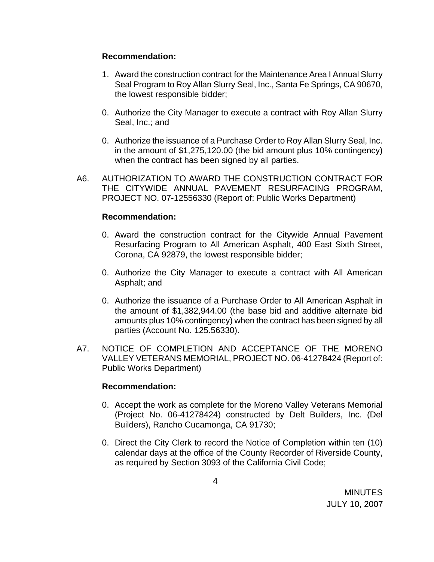## **Recommendation:**

- 1. Award the construction contract for the Maintenance Area I Annual Slurry Seal Program to Roy Allan Slurry Seal, Inc., Santa Fe Springs, CA 90670, the lowest responsible bidder;
- 0. Authorize the City Manager to execute a contract with Roy Allan Slurry Seal, Inc.; and
- 0. Authorize the issuance of a Purchase Order to Roy Allan Slurry Seal, Inc. in the amount of \$1,275,120.00 (the bid amount plus 10% contingency) when the contract has been signed by all parties.
- A6. AUTHORIZATION TO AWARD THE CONSTRUCTION CONTRACT FOR THE CITYWIDE ANNUAL PAVEMENT RESURFACING PROGRAM, PROJECT NO. 07-12556330 (Report of: Public Works Department)

#### **Recommendation:**

- 0. Award the construction contract for the Citywide Annual Pavement Resurfacing Program to All American Asphalt, 400 East Sixth Street, Corona, CA 92879, the lowest responsible bidder;
- 0. Authorize the City Manager to execute a contract with All American Asphalt; and
- 0. Authorize the issuance of a Purchase Order to All American Asphalt in the amount of \$1,382,944.00 (the base bid and additive alternate bid amounts plus 10% contingency) when the contract has been signed by all parties (Account No. 125.56330).
- A7. NOTICE OF COMPLETION AND ACCEPTANCE OF THE MORENO VALLEY VETERANS MEMORIAL, PROJECT NO. 06-41278424 (Report of: Public Works Department)

- 0. Accept the work as complete for the Moreno Valley Veterans Memorial (Project No. 06-41278424) constructed by Delt Builders, Inc. (Del Builders), Rancho Cucamonga, CA 91730;
- 0. Direct the City Clerk to record the Notice of Completion within ten (10) calendar days at the office of the County Recorder of Riverside County, as required by Section 3093 of the California Civil Code;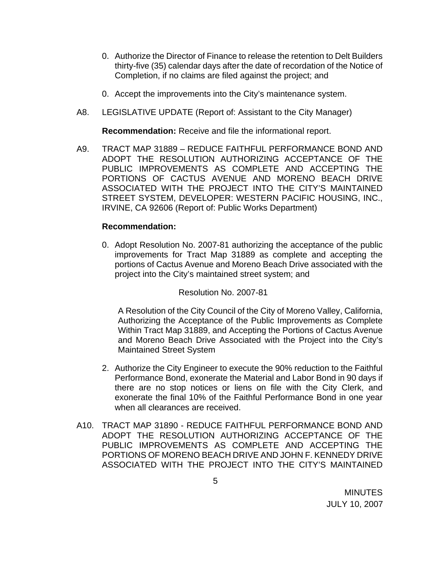- 0. Authorize the Director of Finance to release the retention to Delt Builders thirty-five (35) calendar days after the date of recordation of the Notice of Completion, if no claims are filed against the project; and
- 0. Accept the improvements into the City's maintenance system.
- A8. LEGISLATIVE UPDATE (Report of: Assistant to the City Manager)

**Recommendation:** Receive and file the informational report.

A9. TRACT MAP 31889 – REDUCE FAITHFUL PERFORMANCE BOND AND ADOPT THE RESOLUTION AUTHORIZING ACCEPTANCE OF THE PUBLIC IMPROVEMENTS AS COMPLETE AND ACCEPTING THE PORTIONS OF CACTUS AVENUE AND MORENO BEACH DRIVE ASSOCIATED WITH THE PROJECT INTO THE CITY'S MAINTAINED STREET SYSTEM, DEVELOPER: WESTERN PACIFIC HOUSING, INC., IRVINE, CA 92606 (Report of: Public Works Department)

#### **Recommendation:**

0. Adopt Resolution No. 2007-81 authorizing the acceptance of the public improvements for Tract Map 31889 as complete and accepting the portions of Cactus Avenue and Moreno Beach Drive associated with the project into the City's maintained street system; and

#### Resolution No. 2007-81

 A Resolution of the City Council of the City of Moreno Valley, California, Authorizing the Acceptance of the Public Improvements as Complete Within Tract Map 31889, and Accepting the Portions of Cactus Avenue and Moreno Beach Drive Associated with the Project into the City's Maintained Street System

- 2. Authorize the City Engineer to execute the 90% reduction to the Faithful Performance Bond, exonerate the Material and Labor Bond in 90 days if there are no stop notices or liens on file with the City Clerk, and exonerate the final 10% of the Faithful Performance Bond in one year when all clearances are received.
- A10. TRACT MAP 31890 REDUCE FAITHFUL PERFORMANCE BOND AND ADOPT THE RESOLUTION AUTHORIZING ACCEPTANCE OF THE PUBLIC IMPROVEMENTS AS COMPLETE AND ACCEPTING THE PORTIONS OF MORENO BEACH DRIVE AND JOHN F. KENNEDY DRIVE ASSOCIATED WITH THE PROJECT INTO THE CITY'S MAINTAINED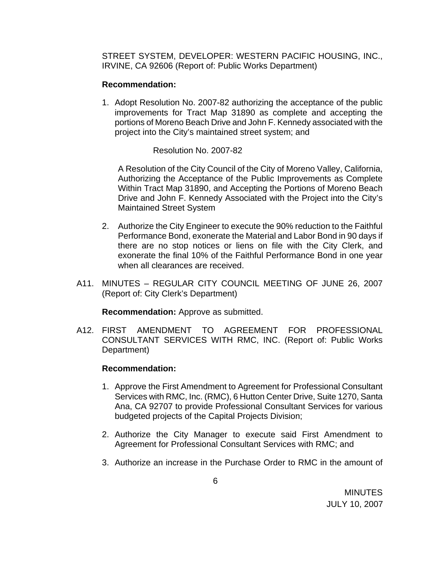STREET SYSTEM, DEVELOPER: WESTERN PACIFIC HOUSING, INC., IRVINE, CA 92606 (Report of: Public Works Department)

## **Recommendation:**

1. Adopt Resolution No. 2007-82 authorizing the acceptance of the public improvements for Tract Map 31890 as complete and accepting the portions of Moreno Beach Drive and John F. Kennedy associated with the project into the City's maintained street system; and

#### Resolution No. 2007-82

 A Resolution of the City Council of the City of Moreno Valley, California, Authorizing the Acceptance of the Public Improvements as Complete Within Tract Map 31890, and Accepting the Portions of Moreno Beach Drive and John F. Kennedy Associated with the Project into the City's Maintained Street System

- 2. Authorize the City Engineer to execute the 90% reduction to the Faithful Performance Bond, exonerate the Material and Labor Bond in 90 days if there are no stop notices or liens on file with the City Clerk, and exonerate the final 10% of the Faithful Performance Bond in one year when all clearances are received.
- A11. MINUTES REGULAR CITY COUNCIL MEETING OF JUNE 26, 2007 (Report of: City Clerk's Department)

**Recommendation:** Approve as submitted.

A12. FIRST AMENDMENT TO AGREEMENT FOR PROFESSIONAL CONSULTANT SERVICES WITH RMC, INC. (Report of: Public Works Department)

- 1. Approve the First Amendment to Agreement for Professional Consultant Services with RMC, Inc. (RMC), 6 Hutton Center Drive, Suite 1270, Santa Ana, CA 92707 to provide Professional Consultant Services for various budgeted projects of the Capital Projects Division;
- 2. Authorize the City Manager to execute said First Amendment to Agreement for Professional Consultant Services with RMC; and
- 3. Authorize an increase in the Purchase Order to RMC in the amount of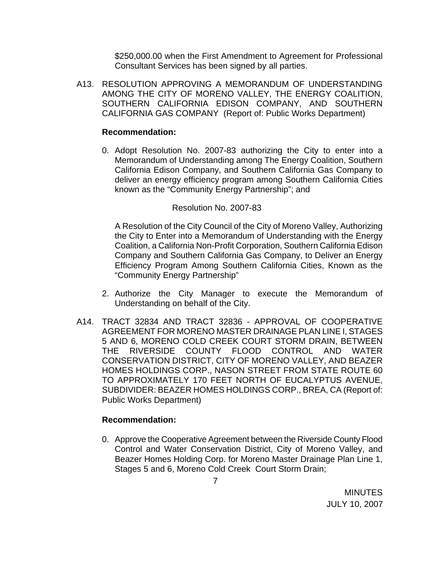\$250,000.00 when the First Amendment to Agreement for Professional Consultant Services has been signed by all parties.

A13. RESOLUTION APPROVING A MEMORANDUM OF UNDERSTANDING AMONG THE CITY OF MORENO VALLEY, THE ENERGY COALITION, SOUTHERN CALIFORNIA EDISON COMPANY, AND SOUTHERN CALIFORNIA GAS COMPANY (Report of: Public Works Department)

#### **Recommendation:**

0. Adopt Resolution No. 2007-83 authorizing the City to enter into a Memorandum of Understanding among The Energy Coalition, Southern California Edison Company, and Southern California Gas Company to deliver an energy efficiency program among Southern California Cities known as the "Community Energy Partnership"; and

#### Resolution No. 2007-83

A Resolution of the City Council of the City of Moreno Valley, Authorizing the City to Enter into a Memorandum of Understanding with the Energy Coalition, a California Non-Profit Corporation, Southern California Edison Company and Southern California Gas Company, to Deliver an Energy Efficiency Program Among Southern California Cities, Known as the "Community Energy Partnership"

- 2. Authorize the City Manager to execute the Memorandum of Understanding on behalf of the City.
- A14. TRACT 32834 AND TRACT 32836 APPROVAL OF COOPERATIVE AGREEMENT FOR MORENO MASTER DRAINAGE PLAN LINE I, STAGES 5 AND 6, MORENO COLD CREEK COURT STORM DRAIN, BETWEEN THE RIVERSIDE COUNTY FLOOD CONTROL AND WATER CONSERVATION DISTRICT, CITY OF MORENO VALLEY, AND BEAZER HOMES HOLDINGS CORP., NASON STREET FROM STATE ROUTE 60 TO APPROXIMATELY 170 FEET NORTH OF EUCALYPTUS AVENUE, SUBDIVIDER: BEAZER HOMES HOLDINGS CORP., BREA, CA (Report of: Public Works Department)

## **Recommendation:**

0. Approve the Cooperative Agreement between the Riverside County Flood Control and Water Conservation District, City of Moreno Valley, and Beazer Homes Holding Corp. for Moreno Master Drainage Plan Line 1, Stages 5 and 6, Moreno Cold Creek Court Storm Drain;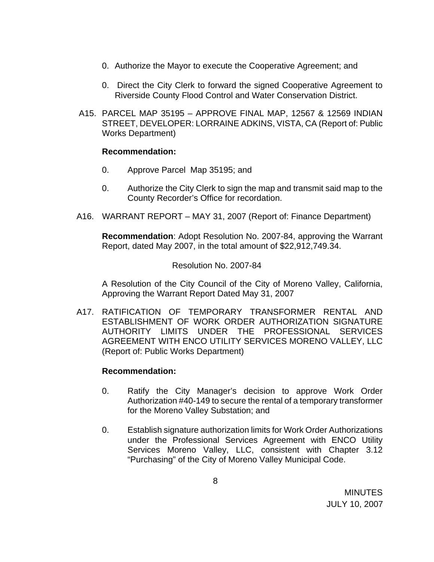- 0. Authorize the Mayor to execute the Cooperative Agreement; and
- 0. Direct the City Clerk to forward the signed Cooperative Agreement to Riverside County Flood Control and Water Conservation District.
- A15. PARCEL MAP 35195 APPROVE FINAL MAP, 12567 & 12569 INDIAN STREET, DEVELOPER: LORRAINE ADKINS, VISTA, CA (Report of: Public Works Department)

#### **Recommendation:**

- 0. Approve Parcel Map 35195; and
- 0. Authorize the City Clerk to sign the map and transmit said map to the County Recorder's Office for recordation.
- A16. WARRANT REPORT MAY 31, 2007 (Report of: Finance Department)

**Recommendation**: Adopt Resolution No. 2007-84, approving the Warrant Report, dated May 2007, in the total amount of \$22,912,749.34.

#### Resolution No. 2007-84

A Resolution of the City Council of the City of Moreno Valley, California, Approving the Warrant Report Dated May 31, 2007

A17. RATIFICATION OF TEMPORARY TRANSFORMER RENTAL AND ESTABLISHMENT OF WORK ORDER AUTHORIZATION SIGNATURE AUTHORITY LIMITS UNDER THE PROFESSIONAL SERVICES AGREEMENT WITH ENCO UTILITY SERVICES MORENO VALLEY, LLC (Report of: Public Works Department)

- 0. Ratify the City Manager's decision to approve Work Order Authorization #40-149 to secure the rental of a temporary transformer for the Moreno Valley Substation; and
- 0. Establish signature authorization limits for Work Order Authorizations under the Professional Services Agreement with ENCO Utility Services Moreno Valley, LLC, consistent with Chapter 3.12 "Purchasing" of the City of Moreno Valley Municipal Code.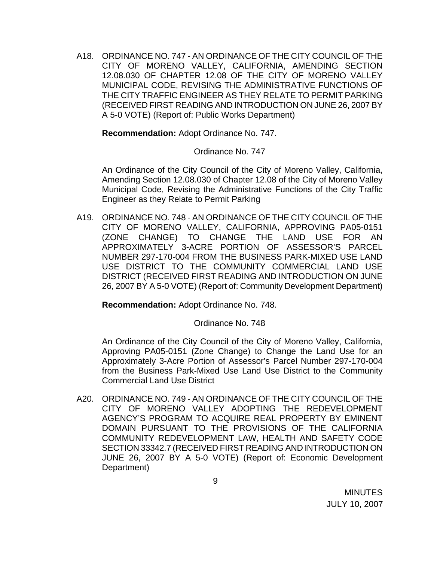A18. ORDINANCE NO. 747 - AN ORDINANCE OF THE CITY COUNCIL OF THE CITY OF MORENO VALLEY, CALIFORNIA, AMENDING SECTION 12.08.030 OF CHAPTER 12.08 OF THE CITY OF MORENO VALLEY MUNICIPAL CODE, REVISING THE ADMINISTRATIVE FUNCTIONS OF THE CITY TRAFFIC ENGINEER AS THEY RELATE TO PERMIT PARKING (RECEIVED FIRST READING AND INTRODUCTION ON JUNE 26, 2007 BY A 5-0 VOTE) (Report of: Public Works Department)

**Recommendation:** Adopt Ordinance No. 747.

#### Ordinance No. 747

An Ordinance of the City Council of the City of Moreno Valley, California, Amending Section 12.08.030 of Chapter 12.08 of the City of Moreno Valley Municipal Code, Revising the Administrative Functions of the City Traffic Engineer as they Relate to Permit Parking

A19. ORDINANCE NO. 748 - AN ORDINANCE OF THE CITY COUNCIL OF THE CITY OF MORENO VALLEY, CALIFORNIA, APPROVING PA05-0151 (ZONE CHANGE) TO CHANGE THE LAND USE FOR AN APPROXIMATELY 3-ACRE PORTION OF ASSESSOR'S PARCEL NUMBER 297-170-004 FROM THE BUSINESS PARK-MIXED USE LAND USE DISTRICT TO THE COMMUNITY COMMERCIAL LAND USE DISTRICT (RECEIVED FIRST READING AND INTRODUCTION ON JUNE 26, 2007 BY A 5-0 VOTE) (Report of: Community Development Department)

**Recommendation:** Adopt Ordinance No. 748.

Ordinance No. 748

An Ordinance of the City Council of the City of Moreno Valley, California, Approving PA05-0151 (Zone Change) to Change the Land Use for an Approximately 3-Acre Portion of Assessor's Parcel Number 297-170-004 from the Business Park-Mixed Use Land Use District to the Community Commercial Land Use District

A20. ORDINANCE NO. 749 - AN ORDINANCE OF THE CITY COUNCIL OF THE CITY OF MORENO VALLEY ADOPTING THE REDEVELOPMENT AGENCY'S PROGRAM TO ACQUIRE REAL PROPERTY BY EMINENT DOMAIN PURSUANT TO THE PROVISIONS OF THE CALIFORNIA COMMUNITY REDEVELOPMENT LAW, HEALTH AND SAFETY CODE SECTION 33342.7 (RECEIVED FIRST READING AND INTRODUCTION ON JUNE 26, 2007 BY A 5-0 VOTE) (Report of: Economic Development Department)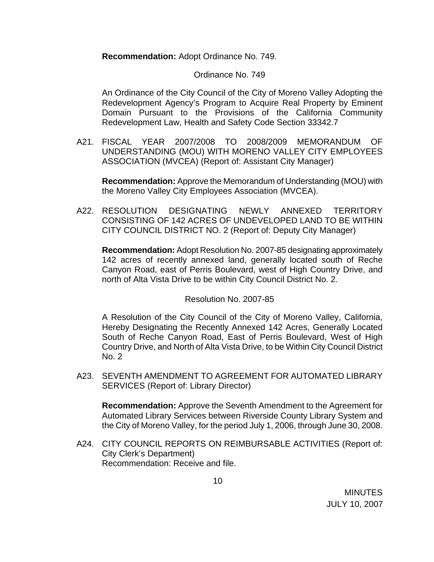**Recommendation:** Adopt Ordinance No. 749.

## Ordinance No. 749

An Ordinance of the City Council of the City of Moreno Valley Adopting the Redevelopment Agency's Program to Acquire Real Property by Eminent Domain Pursuant to the Provisions of the California Community Redevelopment Law, Health and Safety Code Section 33342.7

A21. FISCAL YEAR 2007/2008 TO 2008/2009 MEMORANDUM OF UNDERSTANDING (MOU) WITH MORENO VALLEY CITY EMPLOYEES ASSOCIATION (MVCEA) (Report of: Assistant City Manager)

**Recommendation:** Approve the Memorandum of Understanding (MOU) with the Moreno Valley City Employees Association (MVCEA).

A22. RESOLUTION DESIGNATING NEWLY ANNEXED TERRITORY CONSISTING OF 142 ACRES OF UNDEVELOPED LAND TO BE WITHIN CITY COUNCIL DISTRICT NO. 2 (Report of: Deputy City Manager)

**Recommendation:** Adopt Resolution No. 2007-85 designating approximately 142 acres of recently annexed land, generally located south of Reche Canyon Road, east of Perris Boulevard, west of High Country Drive, and north of Alta Vista Drive to be within City Council District No. 2.

## Resolution No. 2007-85

A Resolution of the City Council of the City of Moreno Valley, California, Hereby Designating the Recently Annexed 142 Acres, Generally Located South of Reche Canyon Road, East of Perris Boulevard, West of High Country Drive, and North of Alta Vista Drive, to be Within City Council District No. 2

A23. SEVENTH AMENDMENT TO AGREEMENT FOR AUTOMATED LIBRARY SERVICES (Report of: Library Director)

**Recommendation:** Approve the Seventh Amendment to the Agreement for Automated Library Services between Riverside County Library System and the City of Moreno Valley, for the period July 1, 2006, through June 30, 2008.

A24. CITY COUNCIL REPORTS ON REIMBURSABLE ACTIVITIES (Report of: City Clerk's Department) Recommendation: Receive and file.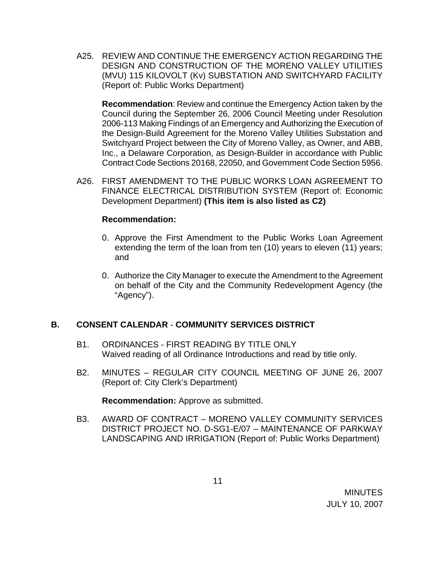A25. REVIEW AND CONTINUE THE EMERGENCY ACTION REGARDING THE DESIGN AND CONSTRUCTION OF THE MORENO VALLEY UTILITIES (MVU) 115 KILOVOLT (Kv) SUBSTATION AND SWITCHYARD FACILITY (Report of: Public Works Department)

**Recommendation**: Review and continue the Emergency Action taken by the Council during the September 26, 2006 Council Meeting under Resolution 2006-113 Making Findings of an Emergency and Authorizing the Execution of the Design-Build Agreement for the Moreno Valley Utilities Substation and Switchyard Project between the City of Moreno Valley, as Owner, and ABB, Inc., a Delaware Corporation, as Design-Builder in accordance with Public Contract Code Sections 20168, 22050, and Government Code Section 5956.

A26. FIRST AMENDMENT TO THE PUBLIC WORKS LOAN AGREEMENT TO FINANCE ELECTRICAL DISTRIBUTION SYSTEM (Report of: Economic Development Department) **(This item is also listed as C2)** 

## **Recommendation:**

- 0. Approve the First Amendment to the Public Works Loan Agreement extending the term of the loan from ten (10) years to eleven (11) years; and
- 0. Authorize the City Manager to execute the Amendment to the Agreement on behalf of the City and the Community Redevelopment Agency (the "Agency").

# **B. CONSENT CALENDAR** - **COMMUNITY SERVICES DISTRICT**

- B1. ORDINANCES FIRST READING BY TITLE ONLY Waived reading of all Ordinance Introductions and read by title only.
- B2. MINUTES REGULAR CITY COUNCIL MEETING OF JUNE 26, 2007 (Report of: City Clerk's Department)

**Recommendation:** Approve as submitted.

B3. AWARD OF CONTRACT – MORENO VALLEY COMMUNITY SERVICES DISTRICT PROJECT NO. D-SG1-E/07 – MAINTENANCE OF PARKWAY LANDSCAPING AND IRRIGATION (Report of: Public Works Department)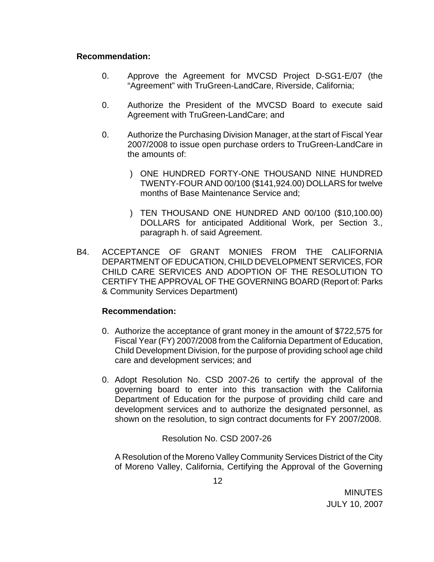#### **Recommendation:**

- 0. Approve the Agreement for MVCSD Project D-SG1-E/07 (the "Agreement" with TruGreen-LandCare, Riverside, California;
- 0. Authorize the President of the MVCSD Board to execute said Agreement with TruGreen-LandCare; and
- 0. Authorize the Purchasing Division Manager, at the start of Fiscal Year 2007/2008 to issue open purchase orders to TruGreen-LandCare in the amounts of:
	- ) ONE HUNDRED FORTY-ONE THOUSAND NINE HUNDRED TWENTY-FOUR AND 00/100 (\$141,924.00) DOLLARS for twelve months of Base Maintenance Service and;
	- ) TEN THOUSAND ONE HUNDRED AND 00/100 (\$10,100.00) DOLLARS for anticipated Additional Work, per Section 3., paragraph h. of said Agreement.
- B4. ACCEPTANCE OF GRANT MONIES FROM THE CALIFORNIA DEPARTMENT OF EDUCATION, CHILD DEVELOPMENT SERVICES, FOR CHILD CARE SERVICES AND ADOPTION OF THE RESOLUTION TO CERTIFY THE APPROVAL OF THE GOVERNING BOARD (Report of: Parks & Community Services Department)

## **Recommendation:**

- 0. Authorize the acceptance of grant money in the amount of \$722,575 for Fiscal Year (FY) 2007/2008 from the California Department of Education, Child Development Division, for the purpose of providing school age child care and development services; and
- 0. Adopt Resolution No. CSD 2007-26 to certify the approval of the governing board to enter into this transaction with the California Department of Education for the purpose of providing child care and development services and to authorize the designated personnel, as shown on the resolution, to sign contract documents for FY 2007/2008.

Resolution No. CSD 2007-26

 A Resolution of the Moreno Valley Community Services District of the City of Moreno Valley, California, Certifying the Approval of the Governing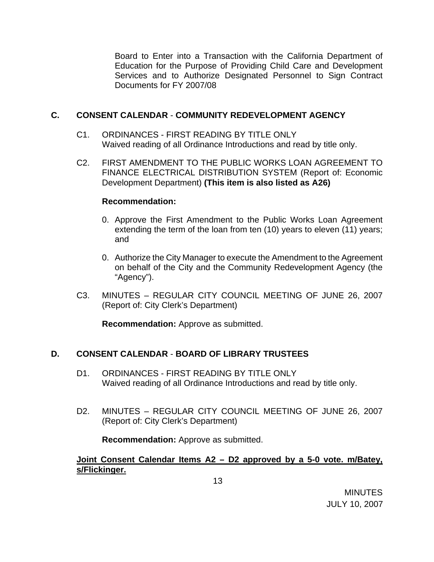Board to Enter into a Transaction with the California Department of Education for the Purpose of Providing Child Care and Development Services and to Authorize Designated Personnel to Sign Contract Documents for FY 2007/08

## **C. CONSENT CALENDAR** - **COMMUNITY REDEVELOPMENT AGENCY**

- C1. ORDINANCES FIRST READING BY TITLE ONLY Waived reading of all Ordinance Introductions and read by title only.
- C2. FIRST AMENDMENT TO THE PUBLIC WORKS LOAN AGREEMENT TO FINANCE ELECTRICAL DISTRIBUTION SYSTEM (Report of: Economic Development Department) **(This item is also listed as A26)**

## **Recommendation:**

- 0. Approve the First Amendment to the Public Works Loan Agreement extending the term of the loan from ten (10) years to eleven (11) years; and
- 0. Authorize the City Manager to execute the Amendment to the Agreement on behalf of the City and the Community Redevelopment Agency (the "Agency").
- C3. MINUTES REGULAR CITY COUNCIL MEETING OF JUNE 26, 2007 (Report of: City Clerk's Department)

**Recommendation:** Approve as submitted.

## **D. CONSENT CALENDAR** - **BOARD OF LIBRARY TRUSTEES**

- D1. ORDINANCES FIRST READING BY TITLE ONLY Waived reading of all Ordinance Introductions and read by title only.
- D2. MINUTES REGULAR CITY COUNCIL MEETING OF JUNE 26, 2007 (Report of: City Clerk's Department)

**Recommendation:** Approve as submitted.

**Joint Consent Calendar Items A2 – D2 approved by a 5-0 vote. m/Batey, s/Flickinger.**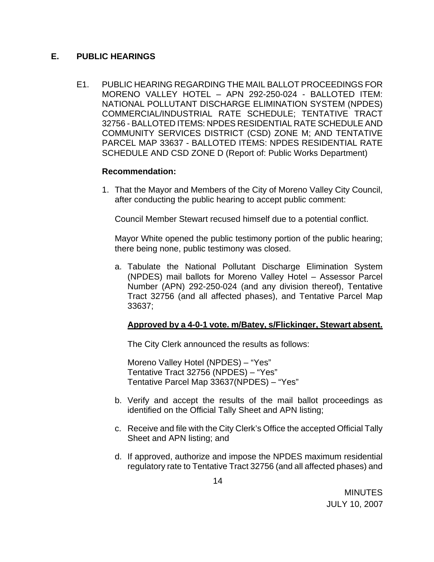## **E. PUBLIC HEARINGS**

E1. PUBLIC HEARING REGARDING THE MAIL BALLOT PROCEEDINGS FOR MORENO VALLEY HOTEL – APN 292-250-024 - BALLOTED ITEM: NATIONAL POLLUTANT DISCHARGE ELIMINATION SYSTEM (NPDES) COMMERCIAL/INDUSTRIAL RATE SCHEDULE; TENTATIVE TRACT 32756 - BALLOTED ITEMS: NPDES RESIDENTIAL RATE SCHEDULE AND COMMUNITY SERVICES DISTRICT (CSD) ZONE M; AND TENTATIVE PARCEL MAP 33637 - BALLOTED ITEMS: NPDES RESIDENTIAL RATE SCHEDULE AND CSD ZONE D (Report of: Public Works Department)

## **Recommendation:**

1. That the Mayor and Members of the City of Moreno Valley City Council, after conducting the public hearing to accept public comment:

Council Member Stewart recused himself due to a potential conflict.

Mayor White opened the public testimony portion of the public hearing; there being none, public testimony was closed.

a. Tabulate the National Pollutant Discharge Elimination System (NPDES) mail ballots for Moreno Valley Hotel – Assessor Parcel Number (APN) 292-250-024 (and any division thereof), Tentative Tract 32756 (and all affected phases), and Tentative Parcel Map 33637;

# **Approved by a 4-0-1 vote. m/Batey, s/Flickinger, Stewart absent.**

The City Clerk announced the results as follows:

 Moreno Valley Hotel (NPDES) – "Yes" Tentative Tract 32756 (NPDES) – "Yes" Tentative Parcel Map 33637(NPDES) – "Yes"

- b. Verify and accept the results of the mail ballot proceedings as identified on the Official Tally Sheet and APN listing;
- c. Receive and file with the City Clerk's Office the accepted Official Tally Sheet and APN listing; and
- d. If approved, authorize and impose the NPDES maximum residential regulatory rate to Tentative Tract 32756 (and all affected phases) and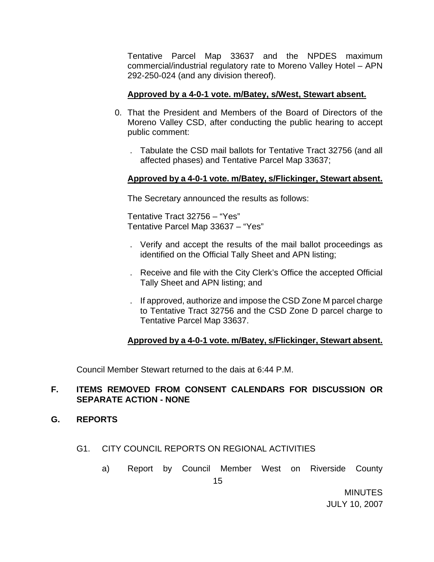Tentative Parcel Map 33637 and the NPDES maximum commercial/industrial regulatory rate to Moreno Valley Hotel – APN 292-250-024 (and any division thereof).

## **Approved by a 4-0-1 vote. m/Batey, s/West, Stewart absent.**

- 0. That the President and Members of the Board of Directors of the Moreno Valley CSD, after conducting the public hearing to accept public comment:
	- . Tabulate the CSD mail ballots for Tentative Tract 32756 (and all affected phases) and Tentative Parcel Map 33637;

## **Approved by a 4-0-1 vote. m/Batey, s/Flickinger, Stewart absent.**

The Secretary announced the results as follows:

 Tentative Tract 32756 – "Yes" Tentative Parcel Map 33637 – "Yes"

- . Verify and accept the results of the mail ballot proceedings as identified on the Official Tally Sheet and APN listing;
- . Receive and file with the City Clerk's Office the accepted Official Tally Sheet and APN listing; and
- . If approved, authorize and impose the CSD Zone M parcel charge to Tentative Tract 32756 and the CSD Zone D parcel charge to Tentative Parcel Map 33637.

## **Approved by a 4-0-1 vote. m/Batey, s/Flickinger, Stewart absent.**

Council Member Stewart returned to the dais at 6:44 P.M.

## **F. ITEMS REMOVED FROM CONSENT CALENDARS FOR DISCUSSION OR SEPARATE ACTION - NONE**

- **G. REPORTS**
	- G1. CITY COUNCIL REPORTS ON REGIONAL ACTIVITIES
		- a) Report by Council Member West on Riverside County

MINUTES JULY 10, 2007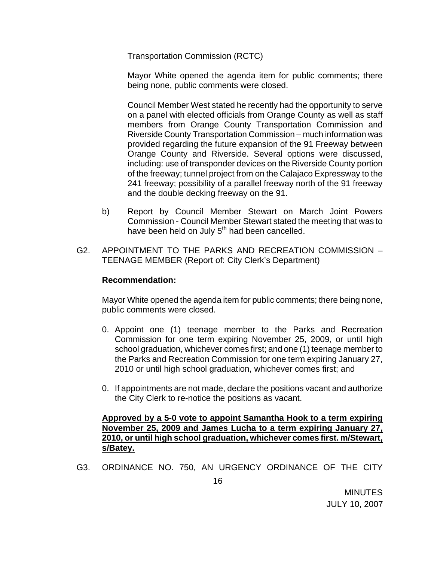Transportation Commission (RCTC)

 Mayor White opened the agenda item for public comments; there being none, public comments were closed.

 Council Member West stated he recently had the opportunity to serve on a panel with elected officials from Orange County as well as staff members from Orange County Transportation Commission and Riverside County Transportation Commission – much information was provided regarding the future expansion of the 91 Freeway between Orange County and Riverside. Several options were discussed, including: use of transponder devices on the Riverside County portion of the freeway; tunnel project from on the Calajaco Expressway to the 241 freeway; possibility of a parallel freeway north of the 91 freeway and the double decking freeway on the 91.

- b) Report by Council Member Stewart on March Joint Powers Commission - Council Member Stewart stated the meeting that was to have been held on July 5<sup>th</sup> had been cancelled.
- G2. APPOINTMENT TO THE PARKS AND RECREATION COMMISSION TEENAGE MEMBER (Report of: City Clerk's Department)

## **Recommendation:**

Mayor White opened the agenda item for public comments; there being none, public comments were closed.

- 0. Appoint one (1) teenage member to the Parks and Recreation Commission for one term expiring November 25, 2009, or until high school graduation, whichever comes first; and one (1) teenage member to the Parks and Recreation Commission for one term expiring January 27, 2010 or until high school graduation, whichever comes first; and
- 0. If appointments are not made, declare the positions vacant and authorize the City Clerk to re-notice the positions as vacant.

**Approved by a 5-0 vote to appoint Samantha Hook to a term expiring November 25, 2009 and James Lucha to a term expiring January 27, 2010, or until high school graduation, whichever comes first. m/Stewart, s/Batey.**

G3. ORDINANCE NO. 750, AN URGENCY ORDINANCE OF THE CITY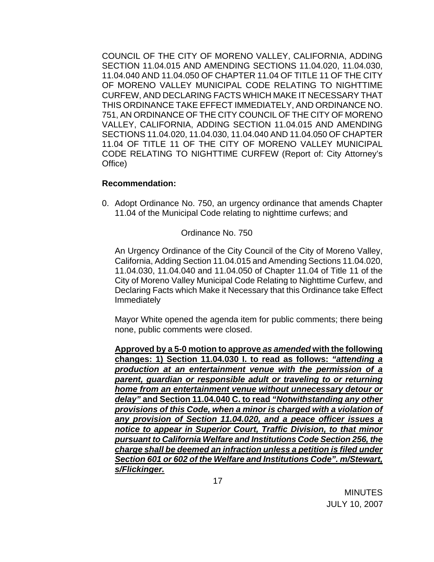COUNCIL OF THE CITY OF MORENO VALLEY, CALIFORNIA, ADDING SECTION 11.04.015 AND AMENDING SECTIONS 11.04.020, 11.04.030, 11.04.040 AND 11.04.050 OF CHAPTER 11.04 OF TITLE 11 OF THE CITY OF MORENO VALLEY MUNICIPAL CODE RELATING TO NIGHTTIME CURFEW, AND DECLARING FACTS WHICH MAKE IT NECESSARY THAT THIS ORDINANCE TAKE EFFECT IMMEDIATELY, AND ORDINANCE NO. 751, AN ORDINANCE OF THE CITY COUNCIL OF THE CITY OF MORENO VALLEY, CALIFORNIA, ADDING SECTION 11.04.015 AND AMENDING SECTIONS 11.04.020, 11.04.030, 11.04.040 AND 11.04.050 OF CHAPTER 11.04 OF TITLE 11 OF THE CITY OF MORENO VALLEY MUNICIPAL CODE RELATING TO NIGHTTIME CURFEW (Report of: City Attorney's Office)

#### **Recommendation:**

0. Adopt Ordinance No. 750, an urgency ordinance that amends Chapter 11.04 of the Municipal Code relating to nighttime curfews; and

#### Ordinance No. 750

An Urgency Ordinance of the City Council of the City of Moreno Valley, California, Adding Section 11.04.015 and Amending Sections 11.04.020, 11.04.030, 11.04.040 and 11.04.050 of Chapter 11.04 of Title 11 of the City of Moreno Valley Municipal Code Relating to Nighttime Curfew, and Declaring Facts which Make it Necessary that this Ordinance take Effect Immediately

Mayor White opened the agenda item for public comments; there being none, public comments were closed.

**Approved by a 5-0 motion to approve** *as amended* **with the following changes: 1) Section 11.04.030 I. to read as follows:** *"attending a production at an entertainment venue with the permission of a parent, guardian or responsible adult or traveling to or returning home from an entertainment venue without unnecessary detour or delay"* **and Section 11.04.040 C. to read** *"Notwithstanding any other provisions of this Code, when a minor is charged with a violation of any provision of Section 11.04.020, and a peace officer issues a notice to appear in Superior Court, Traffic Division, to that minor pursuant to California Welfare and Institutions Code Section 256, the charge shall be deemed an infraction unless a petition is filed under Section 601 or 602 of the Welfare and Institutions Code". m/Stewart, s/Flickinger.*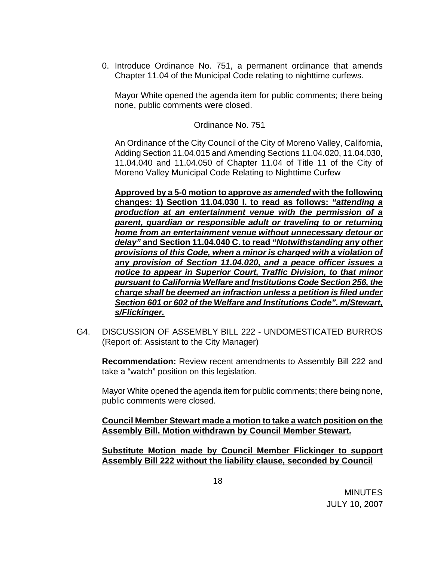0. Introduce Ordinance No. 751, a permanent ordinance that amends Chapter 11.04 of the Municipal Code relating to nighttime curfews.

Mayor White opened the agenda item for public comments; there being none, public comments were closed.

Ordinance No. 751

An Ordinance of the City Council of the City of Moreno Valley, California, Adding Section 11.04.015 and Amending Sections 11.04.020, 11.04.030, 11.04.040 and 11.04.050 of Chapter 11.04 of Title 11 of the City of Moreno Valley Municipal Code Relating to Nighttime Curfew

**Approved by a 5-0 motion to approve** *as amended* **with the following changes: 1) Section 11.04.030 I. to read as follows:** *"attending a production at an entertainment venue with the permission of a parent, guardian or responsible adult or traveling to or returning home from an entertainment venue without unnecessary detour or delay"* **and Section 11.04.040 C. to read** *"Notwithstanding any other provisions of this Code, when a minor is charged with a violation of any provision of Section 11.04.020, and a peace officer issues a notice to appear in Superior Court, Traffic Division, to that minor pursuant to California Welfare and Institutions Code Section 256, the charge shall be deemed an infraction unless a petition is filed under Section 601 or 602 of the Welfare and Institutions Code". m/Stewart, s/Flickinger.*

G4. DISCUSSION OF ASSEMBLY BILL 222 - UNDOMESTICATED BURROS (Report of: Assistant to the City Manager)

**Recommendation:** Review recent amendments to Assembly Bill 222 and take a "watch" position on this legislation.

Mayor White opened the agenda item for public comments; there being none, public comments were closed.

**Council Member Stewart made a motion to take a watch position on the Assembly Bill. Motion withdrawn by Council Member Stewart.** 

 **Substitute Motion made by Council Member Flickinger to support Assembly Bill 222 without the liability clause, seconded by Council**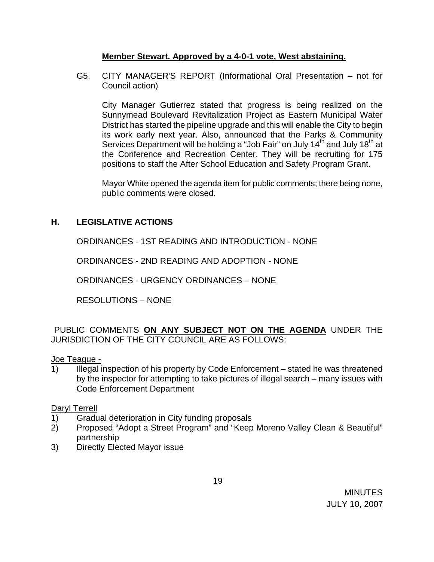## **Member Stewart. Approved by a 4-0-1 vote, West abstaining.**

G5. CITY MANAGER'S REPORT (Informational Oral Presentation – not for Council action)

 City Manager Gutierrez stated that progress is being realized on the Sunnymead Boulevard Revitalization Project as Eastern Municipal Water District has started the pipeline upgrade and this will enable the City to begin its work early next year. Also, announced that the Parks & Community Services Department will be holding a "Job Fair" on July 14<sup>th</sup> and July 18<sup>th</sup> at the Conference and Recreation Center. They will be recruiting for 175 positions to staff the After School Education and Safety Program Grant.

Mayor White opened the agenda item for public comments; there being none, public comments were closed.

# **H. LEGISLATIVE ACTIONS**

ORDINANCES - 1ST READING AND INTRODUCTION - NONE

ORDINANCES - 2ND READING AND ADOPTION - NONE

ORDINANCES - URGENCY ORDINANCES – NONE

RESOLUTIONS – NONE

PUBLIC COMMENTS **ON ANY SUBJECT NOT ON THE AGENDA** UNDER THE JURISDICTION OF THE CITY COUNCIL ARE AS FOLLOWS:

Joe Teague -

1) Illegal inspection of his property by Code Enforcement – stated he was threatened by the inspector for attempting to take pictures of illegal search – many issues with Code Enforcement Department

Daryl Terrell

- 1) Gradual deterioration in City funding proposals
- 2) Proposed "Adopt a Street Program" and "Keep Moreno Valley Clean & Beautiful" partnership
- 3) Directly Elected Mayor issue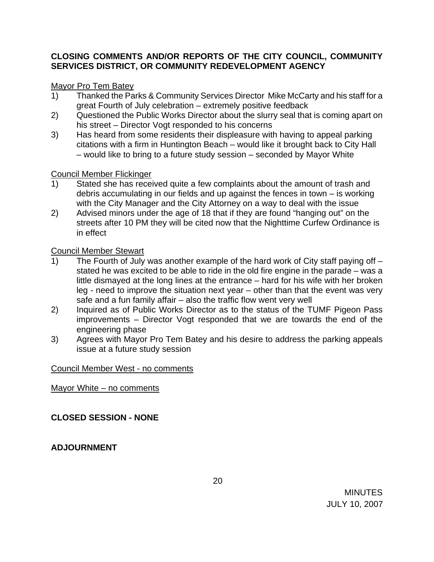# **CLOSING COMMENTS AND/OR REPORTS OF THE CITY COUNCIL, COMMUNITY SERVICES DISTRICT, OR COMMUNITY REDEVELOPMENT AGENCY**

# Mayor Pro Tem Batey

- 1) Thanked the Parks & Community Services Director Mike McCarty and his staff for a great Fourth of July celebration – extremely positive feedback
- 2) Questioned the Public Works Director about the slurry seal that is coming apart on his street – Director Vogt responded to his concerns
- 3) Has heard from some residents their displeasure with having to appeal parking citations with a firm in Huntington Beach – would like it brought back to City Hall – would like to bring to a future study session – seconded by Mayor White

## Council Member Flickinger

- 1) Stated she has received quite a few complaints about the amount of trash and debris accumulating in our fields and up against the fences in town – is working with the City Manager and the City Attorney on a way to deal with the issue
- 2) Advised minors under the age of 18 that if they are found "hanging out" on the streets after 10 PM they will be cited now that the Nighttime Curfew Ordinance is in effect

# Council Member Stewart

- 1) The Fourth of July was another example of the hard work of City staff paying off stated he was excited to be able to ride in the old fire engine in the parade – was a little dismayed at the long lines at the entrance – hard for his wife with her broken leg - need to improve the situation next year – other than that the event was very safe and a fun family affair – also the traffic flow went very well
- 2) Inquired as of Public Works Director as to the status of the TUMF Pigeon Pass improvements – Director Vogt responded that we are towards the end of the engineering phase
- 3) Agrees with Mayor Pro Tem Batey and his desire to address the parking appeals issue at a future study session

## Council Member West - no comments

## Mayor White – no comments

# **CLOSED SESSION - NONE**

# **ADJOURNMENT**